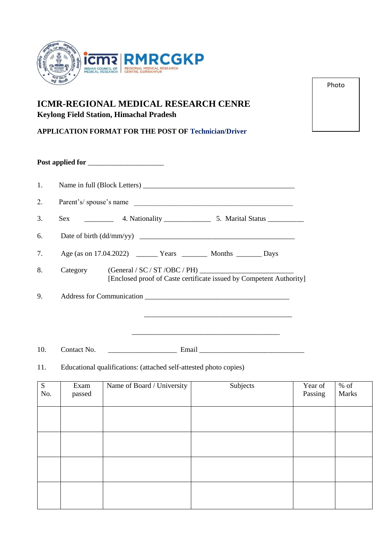

# **ICMR-REGIONAL MEDICAL RESEARCH CENRE Keylong Field Station, Himachal Pradesh**

**APPLICATION FORMAT FOR THE POST OF Technician/Driver**

| 1. |                                                                                 |  |  |  |  |  |
|----|---------------------------------------------------------------------------------|--|--|--|--|--|
| 2. | Parent's/spouse's name                                                          |  |  |  |  |  |
| 3. |                                                                                 |  |  |  |  |  |
| 6. |                                                                                 |  |  |  |  |  |
| 7. |                                                                                 |  |  |  |  |  |
| 8. | Category<br>[Enclosed proof of Caste certificate issued by Competent Authority] |  |  |  |  |  |
| 9. |                                                                                 |  |  |  |  |  |
|    |                                                                                 |  |  |  |  |  |

10. Contact No. \_\_\_\_\_\_\_\_\_\_\_\_\_\_\_\_\_\_\_ Email \_\_\_\_\_\_\_\_\_\_\_\_\_\_\_\_\_\_\_\_\_\_\_\_\_\_\_\_\_

11. Educational qualifications: (attached self-attested photo copies)

| ${\bf S}$<br>No. | Exam<br>passed | Name of Board / University | Subjects | Year of<br>Passing | $%$ of<br>Marks |
|------------------|----------------|----------------------------|----------|--------------------|-----------------|
|                  |                |                            |          |                    |                 |
|                  |                |                            |          |                    |                 |
|                  |                |                            |          |                    |                 |
|                  |                |                            |          |                    |                 |
|                  |                |                            |          |                    |                 |
|                  |                |                            |          |                    |                 |
|                  |                |                            |          |                    |                 |

Photo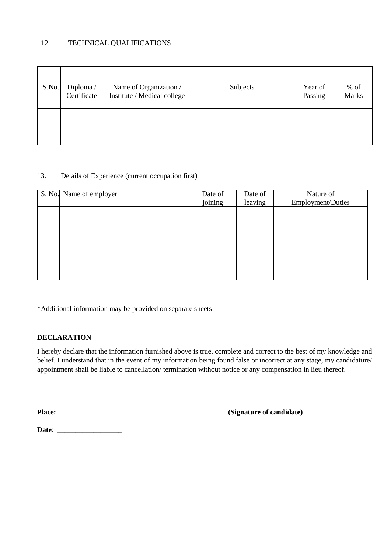### 12. TECHNICAL QUALIFICATIONS

| S.No. | Diploma/<br>Certificate | Name of Organization /<br>Institute / Medical college | Subjects | Year of<br>Passing | $%$ of<br><b>Marks</b> |
|-------|-------------------------|-------------------------------------------------------|----------|--------------------|------------------------|
|       |                         |                                                       |          |                    |                        |

### 13. Details of Experience (current occupation first)

| S. No. Name of employer | Date of | Date of | Nature of         |
|-------------------------|---------|---------|-------------------|
|                         | joining | leaving | Employment/Duties |
|                         |         |         |                   |
|                         |         |         |                   |
|                         |         |         |                   |
|                         |         |         |                   |
|                         |         |         |                   |
|                         |         |         |                   |
|                         |         |         |                   |
|                         |         |         |                   |
|                         |         |         |                   |

\*Additional information may be provided on separate sheets

## **DECLARATION**

I hereby declare that the information furnished above is true, complete and correct to the best of my knowledge and belief. I understand that in the event of my information being found false or incorrect at any stage, my candidature/ appointment shall be liable to cancellation/ termination without notice or any compensation in lieu thereof.

**Place: \_\_\_\_\_\_\_\_\_\_\_\_\_\_\_\_\_ (Signature of candidate)**

**Date**: \_\_\_\_\_\_\_\_\_\_\_\_\_\_\_\_\_\_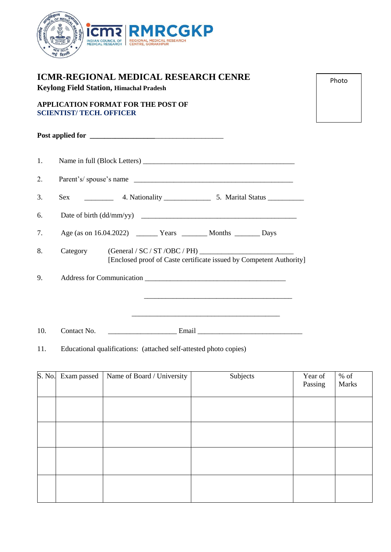

| <b>ICMR-REGIONAL MEDICAL RESEARCH CENRE</b><br><b>Keylong Field Station, Himachal Pradesh</b> |                                                                                                                       |  |  |  |
|-----------------------------------------------------------------------------------------------|-----------------------------------------------------------------------------------------------------------------------|--|--|--|
|                                                                                               | <b>APPLICATION FORMAT FOR THE POST OF</b><br><b>SCIENTIST/ TECH. OFFICER</b>                                          |  |  |  |
|                                                                                               |                                                                                                                       |  |  |  |
| 1.                                                                                            |                                                                                                                       |  |  |  |
| 2.                                                                                            | Parent's/spouse's name                                                                                                |  |  |  |
| 3.                                                                                            | Sex                                                                                                                   |  |  |  |
| 6.                                                                                            |                                                                                                                       |  |  |  |
| 7.                                                                                            |                                                                                                                       |  |  |  |
| 8.                                                                                            | Category<br>[Enclosed proof of Caste certificate issued by Competent Authority]                                       |  |  |  |
| 9.                                                                                            | Address for Communication                                                                                             |  |  |  |
|                                                                                               | <u> 1980 - Johann John Stone, mars and de former and de former and design and design and design and design and de</u> |  |  |  |
|                                                                                               | <u> 1989 - Johann Stoff, deutscher Stoff, der Stoff, der Stoff, der Stoff, der Stoff, der Stoff, der Stoff, der S</u> |  |  |  |
| 10.                                                                                           | Contact No.                                                                                                           |  |  |  |

11. Educational qualifications: (attached self-attested photo copies)

| S. No. Exam passed | Name of Board / University | Subjects | Year of<br>Passing | $\%$ of<br>Marks |
|--------------------|----------------------------|----------|--------------------|------------------|
|                    |                            |          |                    |                  |
|                    |                            |          |                    |                  |
|                    |                            |          |                    |                  |
|                    |                            |          |                    |                  |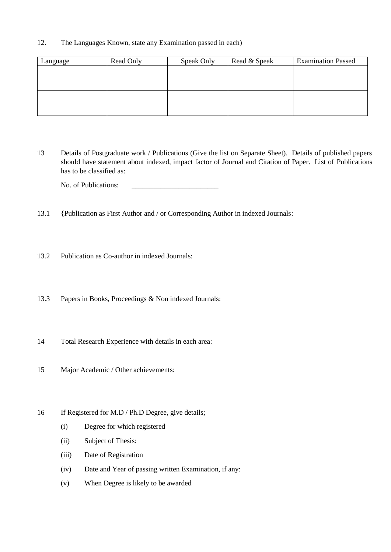### 12. The Languages Known, state any Examination passed in each)

| Language | Read Only | Speak Only | Read & Speak | <b>Examination Passed</b> |
|----------|-----------|------------|--------------|---------------------------|
|          |           |            |              |                           |
|          |           |            |              |                           |
|          |           |            |              |                           |
|          |           |            |              |                           |
|          |           |            |              |                           |
|          |           |            |              |                           |

13 Details of Postgraduate work / Publications (Give the list on Separate Sheet). Details of published papers should have statement about indexed, impact factor of Journal and Citation of Paper. List of Publications has to be classified as:

No. of Publications:

- 13.1 {Publication as First Author and / or Corresponding Author in indexed Journals:
- 13.2 Publication as Co-author in indexed Journals:
- 13.3 Papers in Books, Proceedings & Non indexed Journals:
- 14 Total Research Experience with details in each area:
- 15 Major Academic / Other achievements:
- 16 If Registered for M.D / Ph.D Degree, give details;
	- (i) Degree for which registered
	- (ii) Subject of Thesis:
	- (iii) Date of Registration
	- (iv) Date and Year of passing written Examination, if any:
	- (v) When Degree is likely to be awarded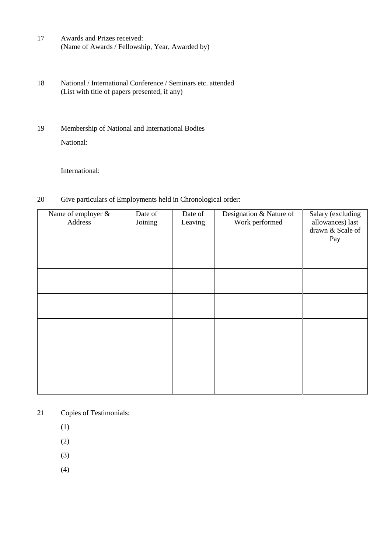- 17 Awards and Prizes received: (Name of Awards / Fellowship, Year, Awarded by)
- 18 National / International Conference / Seminars etc. attended (List with title of papers presented, if any)
- 19 Membership of National and International Bodies National:

International:

20 Give particulars of Employments held in Chronological order:

| Name of employer &<br>Address | Date of<br>Joining | Date of<br>Leaving | Designation & Nature of<br>Work performed | Salary (excluding<br>allowances) last<br>drawn & Scale of |
|-------------------------------|--------------------|--------------------|-------------------------------------------|-----------------------------------------------------------|
|                               |                    |                    |                                           | Pay                                                       |
|                               |                    |                    |                                           |                                                           |
|                               |                    |                    |                                           |                                                           |
|                               |                    |                    |                                           |                                                           |
|                               |                    |                    |                                           |                                                           |
|                               |                    |                    |                                           |                                                           |

- 21 Copies of Testimonials:
	- (1)
	- (2)
	- (3)
	- (4)